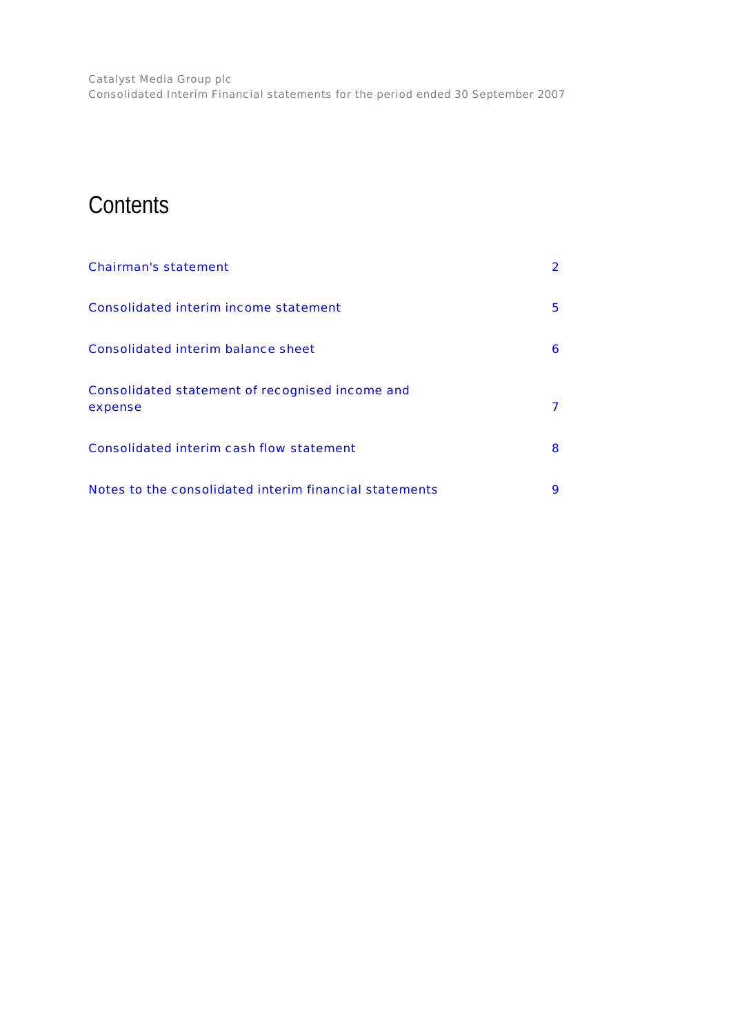# **Contents**

| <b>Chairman's statement</b>                                |   |
|------------------------------------------------------------|---|
| <b>Consolidated interim income statement</b>               | 5 |
| <b>Consolidated interim balance sheet</b>                  | 6 |
| Consolidated statement of recognised income and<br>expense |   |
| <b>Consolidated interim cash flow statement</b>            | 8 |
| Notes to the consolidated interim financial statements     | 9 |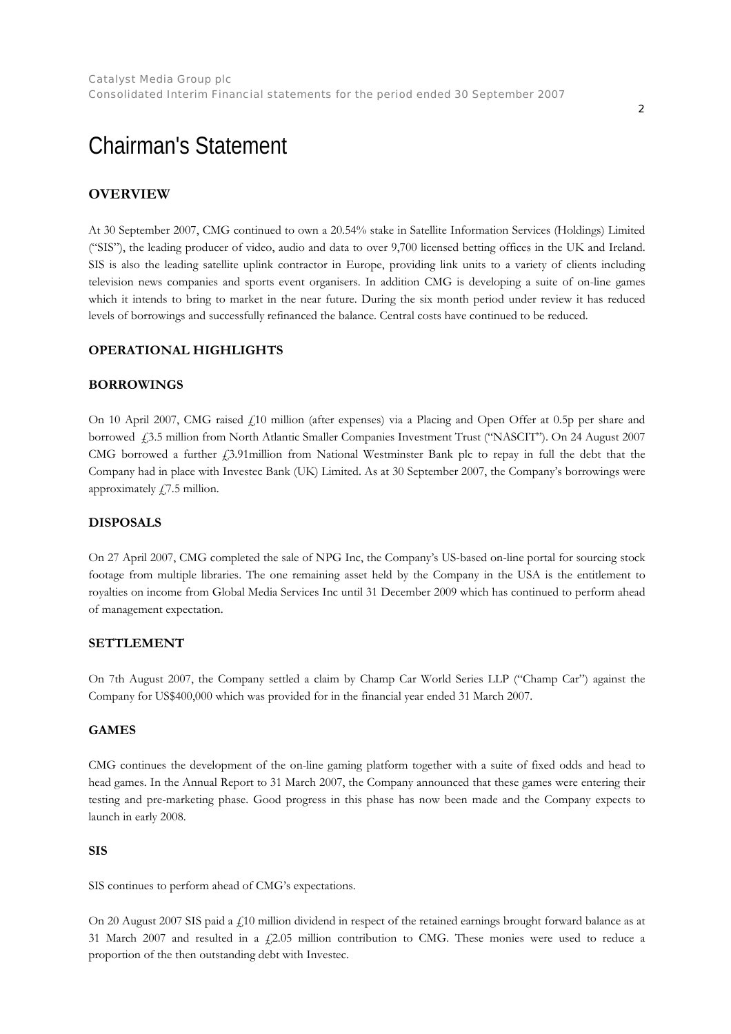# <span id="page-1-0"></span>Chairman's Statement

## **OVERVIEW**

At 30 September 2007, CMG continued to own a 20.54% stake in Satellite Information Services (Holdings) Limited ("SIS"), the leading producer of video, audio and data to over 9,700 licensed betting offices in the UK and Ireland. SIS is also the leading satellite uplink contractor in Europe, providing link units to a variety of clients including television news companies and sports event organisers. In addition CMG is developing a suite of on-line games which it intends to bring to market in the near future. During the six month period under review it has reduced levels of borrowings and successfully refinanced the balance. Central costs have continued to be reduced.

## **OPERATIONAL HIGHLIGHTS**

### **BORROWINGS**

On 10 April 2007, CMG raised  $\ell$ 10 million (after expenses) via a Placing and Open Offer at 0.5p per share and borrowed £3.5 million from North Atlantic Smaller Companies Investment Trust ("NASCIT"). On 24 August 2007 CMG borrowed a further  $\ell$ 3.91million from National Westminster Bank plc to repay in full the debt that the Company had in place with Investec Bank (UK) Limited. As at 30 September 2007, the Company's borrowings were approximately  $\angle$  7.5 million.

## **DISPOSALS**

On 27 April 2007, CMG completed the sale of NPG Inc, the Company's US-based on-line portal for sourcing stock footage from multiple libraries. The one remaining asset held by the Company in the USA is the entitlement to royalties on income from Global Media Services Inc until 31 December 2009 which has continued to perform ahead of management expectation.

### **SETTLEMENT**

On 7th August 2007, the Company settled a claim by Champ Car World Series LLP ("Champ Car") against the Company for US\$400,000 which was provided for in the financial year ended 31 March 2007.

### **GAMES**

CMG continues the development of the on-line gaming platform together with a suite of fixed odds and head to head games. In the Annual Report to 31 March 2007, the Company announced that these games were entering their testing and pre-marketing phase. Good progress in this phase has now been made and the Company expects to launch in early 2008.

### **SIS**

SIS continues to perform ahead of CMG's expectations.

On 20 August 2007 SIS paid a £10 million dividend in respect of the retained earnings brought forward balance as at 31 March 2007 and resulted in a  $f2.05$  million contribution to CMG. These monies were used to reduce a proportion of the then outstanding debt with Investec.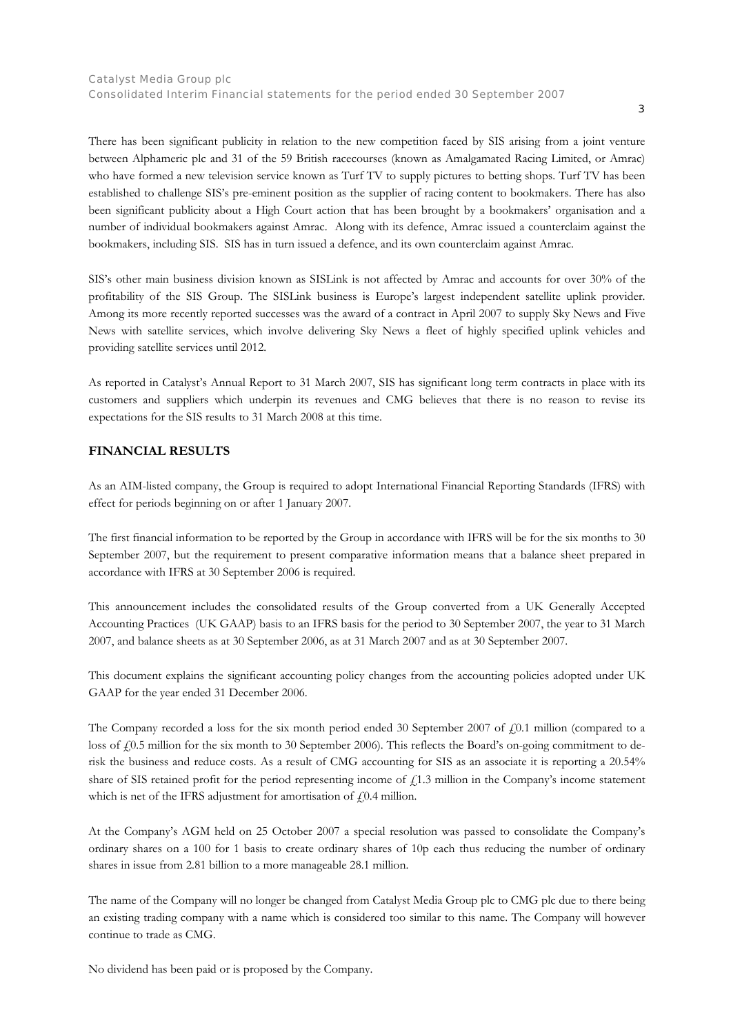There has been significant publicity in relation to the new competition faced by SIS arising from a joint venture between Alphameric plc and 31 of the 59 British racecourses (known as Amalgamated Racing Limited, or Amrac) who have formed a new television service known as Turf TV to supply pictures to betting shops. Turf TV has been established to challenge SIS's pre-eminent position as the supplier of racing content to bookmakers. There has also been significant publicity about a High Court action that has been brought by a bookmakers' organisation and a number of individual bookmakers against Amrac. Along with its defence, Amrac issued a counterclaim against the bookmakers, including SIS. SIS has in turn issued a defence, and its own counterclaim against Amrac.

SIS's other main business division known as SISLink is not affected by Amrac and accounts for over 30% of the profitability of the SIS Group. The SISLink business is Europe's largest independent satellite uplink provider. Among its more recently reported successes was the award of a contract in April 2007 to supply Sky News and Five News with satellite services, which involve delivering Sky News a fleet of highly specified uplink vehicles and providing satellite services until 2012.

As reported in Catalyst's Annual Report to 31 March 2007, SIS has significant long term contracts in place with its customers and suppliers which underpin its revenues and CMG believes that there is no reason to revise its expectations for the SIS results to 31 March 2008 at this time.

## **FINANCIAL RESULTS**

As an AIM-listed company, the Group is required to adopt International Financial Reporting Standards (IFRS) with effect for periods beginning on or after 1 January 2007.

The first financial information to be reported by the Group in accordance with IFRS will be for the six months to 30 September 2007, but the requirement to present comparative information means that a balance sheet prepared in accordance with IFRS at 30 September 2006 is required.

This announcement includes the consolidated results of the Group converted from a UK Generally Accepted Accounting Practices (UK GAAP) basis to an IFRS basis for the period to 30 September 2007, the year to 31 March 2007, and balance sheets as at 30 September 2006, as at 31 March 2007 and as at 30 September 2007.

This document explains the significant accounting policy changes from the accounting policies adopted under UK GAAP for the year ended 31 December 2006.

The Company recorded a loss for the six month period ended 30 September 2007 of  $f(0.1)$  million (compared to a loss of  $f(0.5)$  million for the six month to 30 September 2006). This reflects the Board's on-going commitment to derisk the business and reduce costs. As a result of CMG accounting for SIS as an associate it is reporting a 20.54% share of SIS retained profit for the period representing income of  $f(1.3)$  million in the Company's income statement which is net of the IFRS adjustment for amortisation of  $f(0.4$  million.

At the Company's AGM held on 25 October 2007 a special resolution was passed to consolidate the Company's ordinary shares on a 100 for 1 basis to create ordinary shares of 10p each thus reducing the number of ordinary shares in issue from 2.81 billion to a more manageable 28.1 million.

The name of the Company will no longer be changed from Catalyst Media Group plc to CMG plc due to there being an existing trading company with a name which is considered too similar to this name. The Company will however continue to trade as CMG.

No dividend has been paid or is proposed by the Company.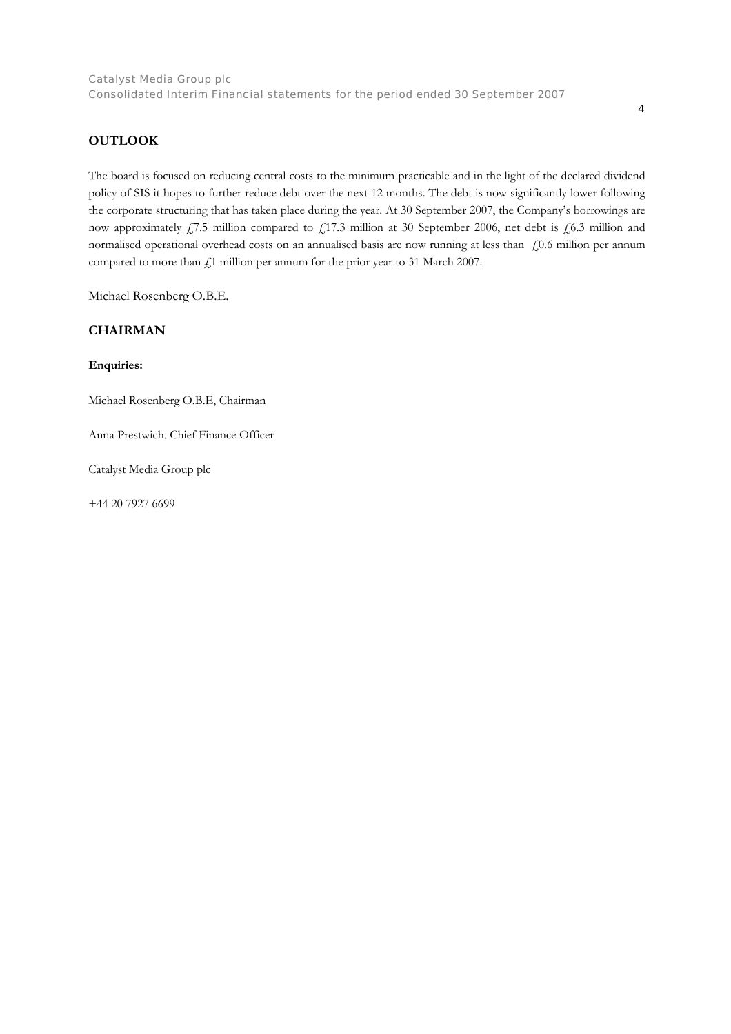## **OUTLOOK**

The board is focused on reducing central costs to the minimum practicable and in the light of the declared dividend policy of SIS it hopes to further reduce debt over the next 12 months. The debt is now significantly lower following the corporate structuring that has taken place during the year. At 30 September 2007, the Company's borrowings are now approximately  $f$ , 7.5 million compared to  $f$ , 17.3 million at 30 September 2006, net debt is  $f$ , 6.3 million and normalised operational overhead costs on an annualised basis are now running at less than  $\pm 0.6$  million per annum compared to more than  $f$ 1 million per annum for the prior year to 31 March 2007.

Michael Rosenberg O.B.E.

## **CHAIRMAN**

**Enquiries:** 

Michael Rosenberg O.B.E, Chairman

Anna Prestwich, Chief Finance Officer

Catalyst Media Group plc

+44 20 7927 6699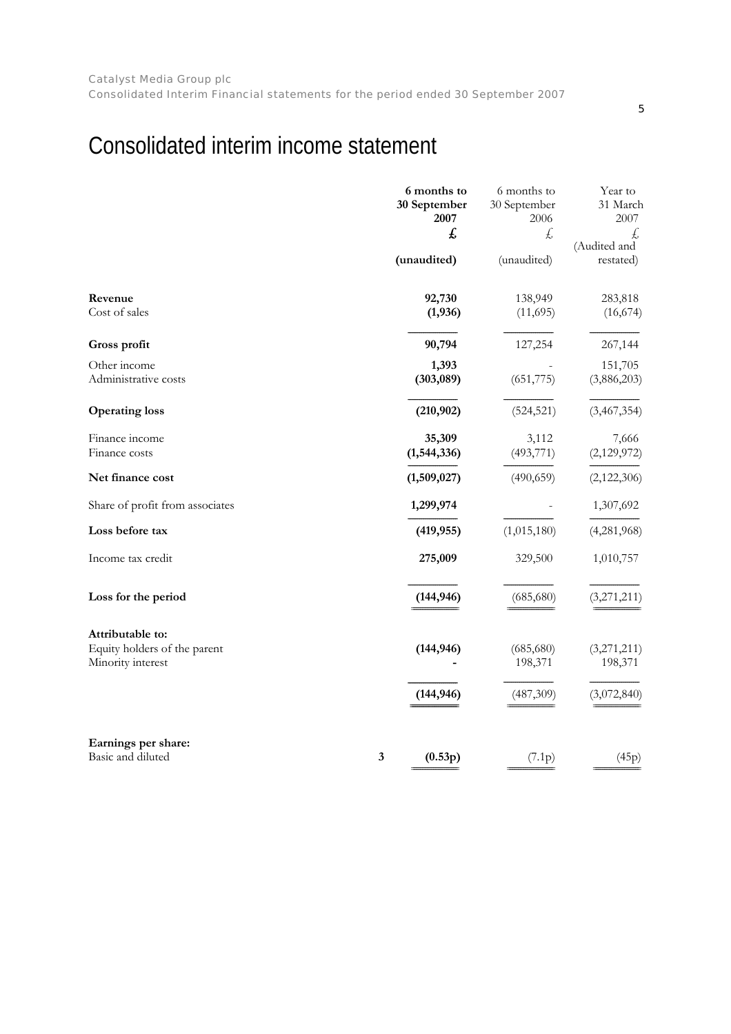# <span id="page-4-0"></span>Consolidated interim income statement

|                                                   |              | 6 months to<br>30 September<br>2007<br>£ | 6 months to<br>30 September<br>2006<br>£ | Year to<br>31 March<br>2007<br>£ |
|---------------------------------------------------|--------------|------------------------------------------|------------------------------------------|----------------------------------|
|                                                   |              | (unaudited)                              | (unaudited)                              | (Audited and<br>restated)        |
| Revenue<br>Cost of sales                          |              | 92,730<br>(1,936)                        | 138,949<br>(11,695)                      | 283,818<br>(16,674)              |
| Gross profit                                      |              | 90,794                                   | 127,254                                  | 267,144                          |
| Other income<br>Administrative costs              |              | 1,393<br>(303,089)                       | (651, 775)                               | 151,705<br>(3,886,203)           |
| <b>Operating loss</b>                             |              | (210, 902)                               | (524, 521)                               | (3,467,354)                      |
| Finance income<br>Finance costs                   |              | 35,309<br>(1,544,336)                    | 3,112<br>(493, 771)                      | 7,666<br>(2,129,972)             |
| Net finance cost                                  |              | (1,509,027)                              | (490, 659)                               | (2,122,306)                      |
| Share of profit from associates                   |              | 1,299,974                                |                                          | 1,307,692                        |
| Loss before tax                                   |              | (419, 955)                               | (1,015,180)                              | (4,281,968)                      |
| Income tax credit                                 |              | 275,009                                  | 329,500                                  | 1,010,757                        |
| Loss for the period                               |              | (144, 946)                               | (685, 680)                               | (3,271,211)                      |
| Attributable to:                                  |              |                                          |                                          |                                  |
| Equity holders of the parent<br>Minority interest |              | (144, 946)                               | (685, 680)<br>198,371                    | (3,271,211)<br>198,371           |
|                                                   |              | (144, 946)                               | (487,309)                                | (3,072,840)                      |
| Earnings per share:                               |              |                                          |                                          |                                  |
| Basic and diluted                                 | $\mathbf{3}$ | (0.53p)                                  | (7.1p)                                   | (45p)                            |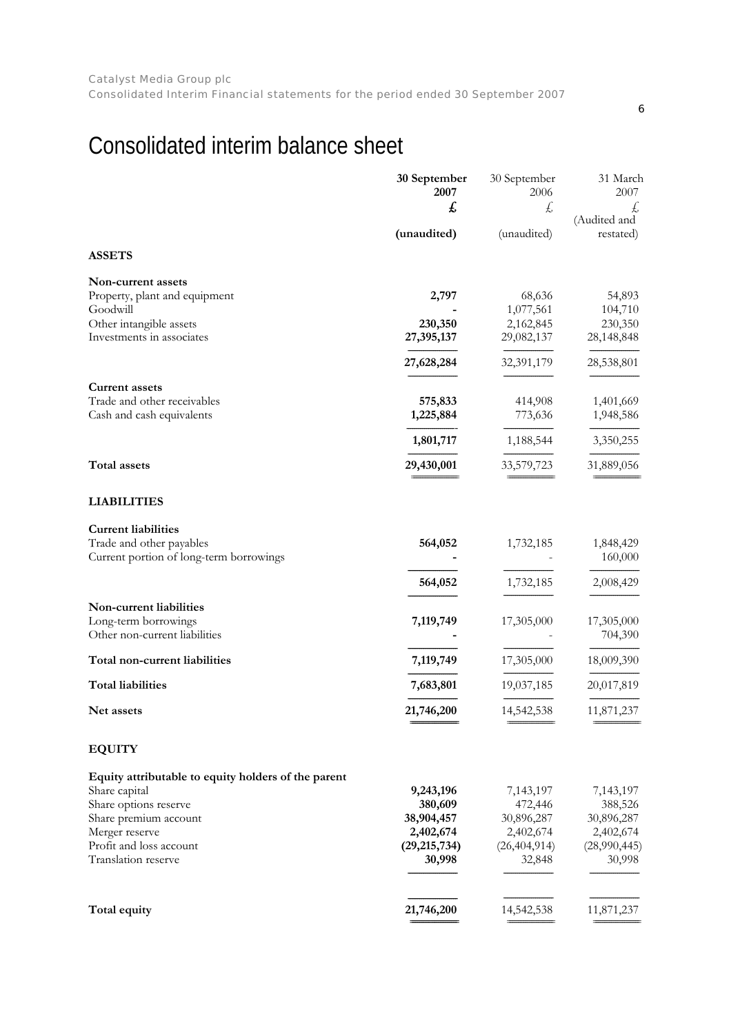# <span id="page-5-0"></span>Consolidated interim balance sheet

|                                                      | 30 September<br>2007     | 30 September<br>2006     | 31 March<br>2007       |
|------------------------------------------------------|--------------------------|--------------------------|------------------------|
|                                                      | £                        | £                        | Ł,<br>(Audited and     |
|                                                      | (unaudited)              | (unaudited)              | restated)              |
| <b>ASSETS</b>                                        |                          |                          |                        |
| Non-current assets                                   |                          |                          |                        |
| Property, plant and equipment                        | 2,797                    | 68,636                   | 54,893                 |
| Goodwill                                             |                          | 1,077,561<br>2,162,845   | 104,710                |
| Other intangible assets<br>Investments in associates | 230,350<br>27,395,137    | 29,082,137               | 230,350<br>28,148,848  |
|                                                      |                          | 32,391,179               |                        |
|                                                      | 27,628,284               |                          | 28,538,801             |
| <b>Current assets</b>                                |                          |                          |                        |
| Trade and other receivables                          | 575,833                  | 414,908                  | 1,401,669              |
| Cash and cash equivalents                            | 1,225,884                | 773,636                  | 1,948,586              |
|                                                      | 1,801,717                | 1,188,544                | 3,350,255              |
| <b>Total assets</b>                                  | 29,430,001               | 33,579,723               | 31,889,056             |
| <b>LIABILITIES</b>                                   |                          |                          |                        |
| <b>Current liabilities</b>                           |                          |                          |                        |
| Trade and other payables                             | 564,052                  | 1,732,185                | 1,848,429              |
| Current portion of long-term borrowings              |                          |                          | 160,000                |
|                                                      | 564,052                  | 1,732,185                | 2,008,429              |
| Non-current liabilities                              |                          |                          |                        |
| Long-term borrowings                                 | 7,119,749                | 17,305,000               | 17,305,000             |
| Other non-current liabilities                        |                          |                          | 704,390                |
| Total non-current liabilities                        | 7,119,749                | 17,305,000               | 18,009,390             |
| <b>Total liabilities</b>                             | 7,683,801                | 19,037,185               | 20,017,819             |
| Net assets                                           | 21,746,200               | 14,542,538               | 11,871,237             |
| <b>EQUITY</b>                                        |                          |                          |                        |
| Equity attributable to equity holders of the parent  |                          |                          |                        |
| Share capital                                        | 9,243,196                | 7,143,197                | 7,143,197              |
| Share options reserve                                | 380,609                  | 472,446                  | 388,526                |
| Share premium account                                | 38,904,457               | 30,896,287               | 30,896,287             |
| Merger reserve                                       | 2,402,674                | 2,402,674                | 2,402,674              |
| Profit and loss account<br>Translation reserve       | (29, 215, 734)<br>30,998 | (26, 404, 914)<br>32,848 | (28,990,445)<br>30,998 |
|                                                      |                          |                          |                        |
| Total equity                                         | 21,746,200               | 14,542,538               | 11,871,237             |
|                                                      |                          |                          |                        |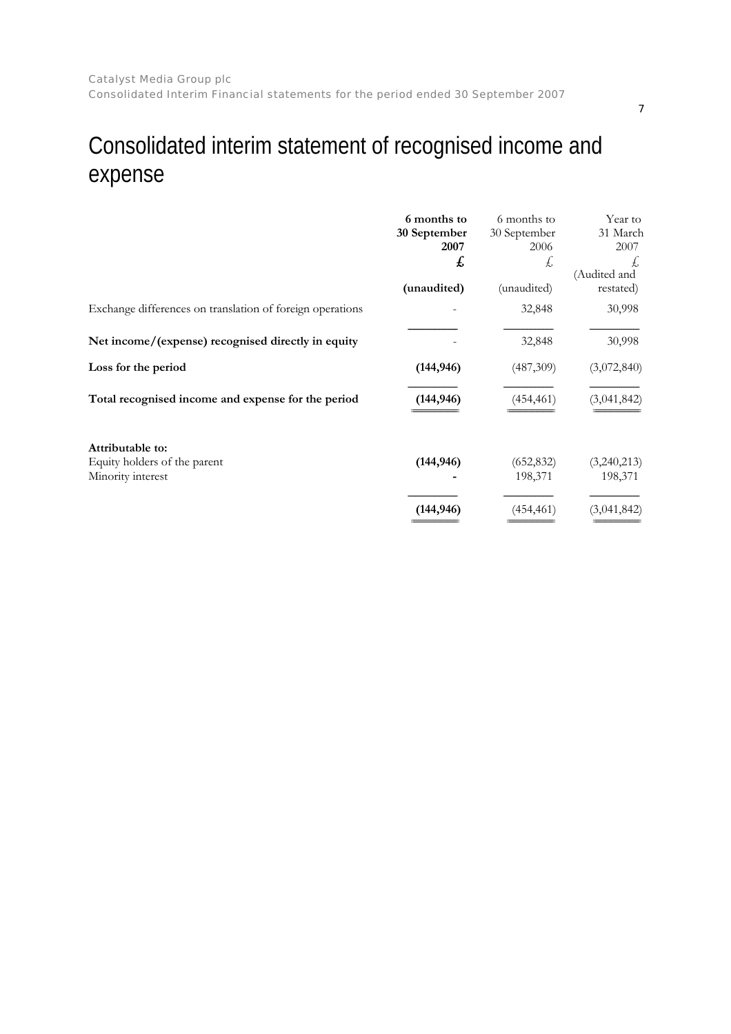# <span id="page-6-0"></span>Consolidated interim statement of recognised income and expense

|                                                                       | 6 months to<br>30 September<br>2007<br>£ | 6 months to<br>30 September<br>2006<br>Ł, | Year to<br>31 March<br>2007<br>£,<br>(Audited and |
|-----------------------------------------------------------------------|------------------------------------------|-------------------------------------------|---------------------------------------------------|
|                                                                       | (unaudited)                              | (unaudited)                               | restated)                                         |
| Exchange differences on translation of foreign operations             |                                          | 32,848                                    | 30,998                                            |
| Net income/(expense) recognised directly in equity                    |                                          | 32,848                                    | 30,998                                            |
| Loss for the period                                                   | (144, 946)                               | (487,309)                                 | (3,072,840)                                       |
| Total recognised income and expense for the period                    | (144, 946)                               | (454, 461)                                | (3,041,842)                                       |
| Attributable to:<br>Equity holders of the parent<br>Minority interest | (144, 946)                               | (652, 832)<br>198,371                     | (3,240,213)<br>198,371                            |
|                                                                       | (144, 946)                               | (454, 461)                                | (3,041,842)                                       |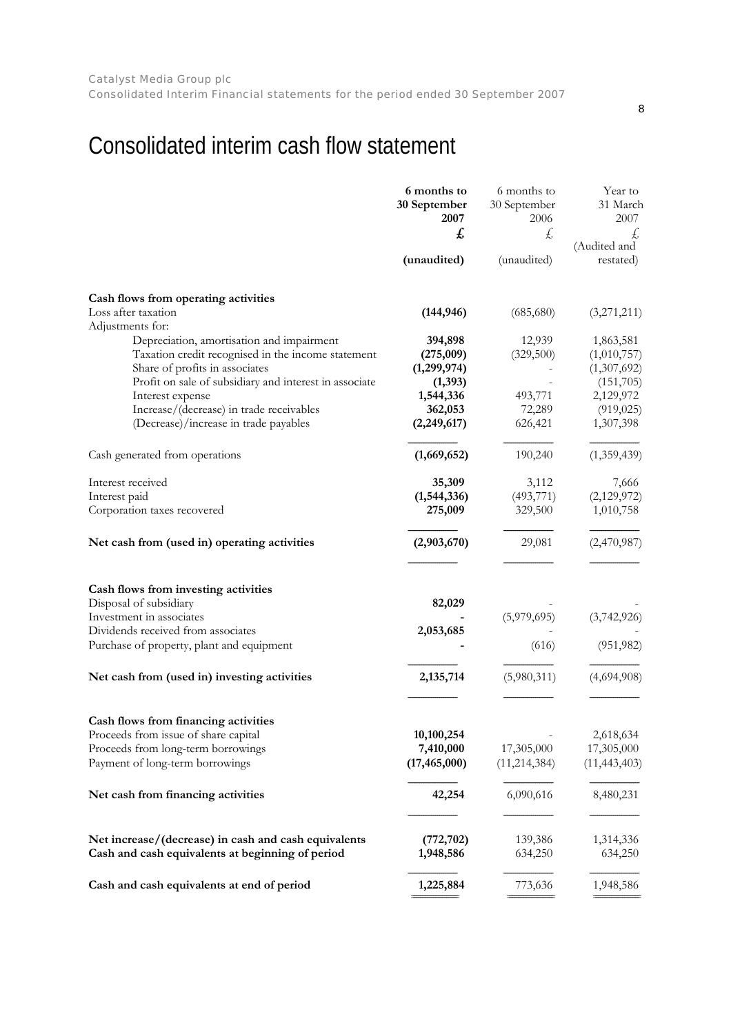# <span id="page-7-0"></span>Consolidated interim cash flow statement

|                                                                                      | 6 months to<br>30 September<br>2007 | 6 months to<br>30 September<br>2006 | Year to<br>31 March<br>2007 |
|--------------------------------------------------------------------------------------|-------------------------------------|-------------------------------------|-----------------------------|
|                                                                                      | £                                   | Ł,                                  | £,<br>(Audited and          |
|                                                                                      | (unaudited)                         | (unaudited)                         | restated)                   |
| Cash flows from operating activities                                                 |                                     |                                     |                             |
| Loss after taxation<br>Adjustments for:                                              | (144, 946)                          | (685,680)                           | (3,271,211)                 |
| Depreciation, amortisation and impairment                                            | 394,898                             | 12,939                              | 1,863,581                   |
| Taxation credit recognised in the income statement<br>Share of profits in associates | (275,009)<br>(1,299,974)            | (329,500)                           | (1,010,757)<br>(1,307,692)  |
| Profit on sale of subsidiary and interest in associate                               | (1, 393)                            |                                     | (151,705)                   |
| Interest expense                                                                     | 1,544,336                           | 493,771                             | 2,129,972                   |
| Increase/(decrease) in trade receivables                                             | 362,053                             | 72,289                              | (919, 025)                  |
| (Decrease)/increase in trade payables                                                | (2, 249, 617)                       | 626,421                             | 1,307,398                   |
| Cash generated from operations                                                       | (1,669,652)                         | 190,240                             | (1,359,439)                 |
| Interest received                                                                    | 35,309                              | 3,112                               | 7,666                       |
| Interest paid                                                                        | (1,544,336)                         | (493, 771)                          | (2,129,972)                 |
| Corporation taxes recovered                                                          | 275,009                             | 329,500                             | 1,010,758                   |
| Net cash from (used in) operating activities                                         | (2,903,670)                         | 29,081                              | (2,470,987)                 |
| Cash flows from investing activities                                                 |                                     |                                     |                             |
| Disposal of subsidiary                                                               | 82,029                              |                                     |                             |
| Investment in associates                                                             |                                     | (5,979,695)                         | (3,742,926)                 |
| Dividends received from associates                                                   | 2,053,685                           |                                     |                             |
| Purchase of property, plant and equipment                                            |                                     | (616)                               | (951, 982)                  |
| Net cash from (used in) investing activities                                         | 2,135,714                           | (5,980,311)                         | (4,694,908)                 |
|                                                                                      |                                     |                                     |                             |
| Cash flows from financing activities                                                 |                                     |                                     |                             |
| Proceeds from issue of share capital                                                 | 10,100,254                          |                                     | 2,618,634                   |
| Proceeds from long-term borrowings                                                   | 7,410,000                           | 17,305,000                          | 17,305,000                  |
| Payment of long-term borrowings                                                      | (17, 465, 000)                      | (11, 214, 384)                      | (11, 443, 403)              |
| Net cash from financing activities                                                   | 42,254                              | 6,090,616                           | 8,480,231                   |
| Net increase/(decrease) in cash and cash equivalents                                 | (772, 702)                          | 139,386                             | 1,314,336                   |
| Cash and cash equivalents at beginning of period                                     | 1,948,586                           | 634,250                             | 634,250                     |
| Cash and cash equivalents at end of period                                           | 1,225,884                           | 773,636                             | 1,948,586                   |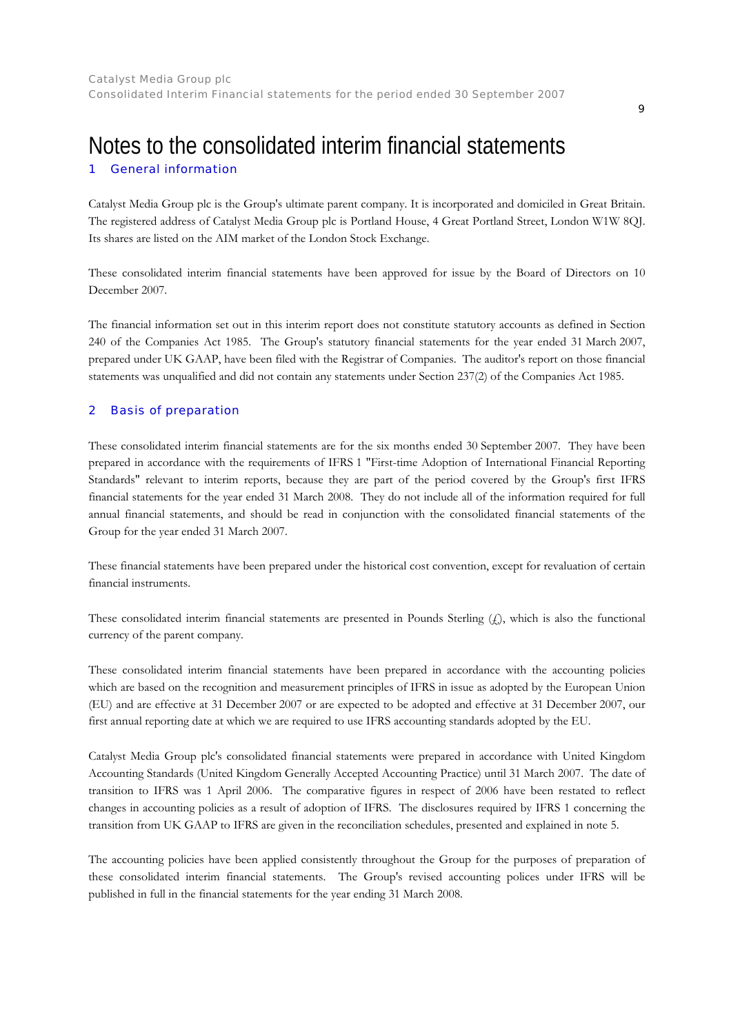## <span id="page-8-0"></span>1 Notes to the consolidated interim financial statements General information

Catalyst Media Group plc is the Group's ultimate parent company. It is incorporated and domiciled in Great Britain. The registered address of Catalyst Media Group plc is Portland House, 4 Great Portland Street, London W1W 8QJ. Its shares are listed on the AIM market of the London Stock Exchange.

These consolidated interim financial statements have been approved for issue by the Board of Directors on 10 December 2007.

The financial information set out in this interim report does not constitute statutory accounts as defined in Section 240 of the Companies Act 1985. The Group's statutory financial statements for the year ended 31 March 2007, prepared under UK GAAP, have been filed with the Registrar of Companies. The auditor's report on those financial statements was unqualified and did not contain any statements under Section 237(2) of the Companies Act 1985.

#### 2 Basis of preparation

These consolidated interim financial statements are for the six months ended 30 September 2007. They have been prepared in accordance with the requirements of IFRS 1 "First-time Adoption of International Financial Reporting Standards" relevant to interim reports, because they are part of the period covered by the Group's first IFRS financial statements for the year ended 31 March 2008. They do not include all of the information required for full annual financial statements, and should be read in conjunction with the consolidated financial statements of the Group for the year ended 31 March 2007.

These financial statements have been prepared under the historical cost convention, except for revaluation of certain financial instruments.

These consolidated interim financial statements are presented in Pounds Sterling  $(f)$ , which is also the functional currency of the parent company.

These consolidated interim financial statements have been prepared in accordance with the accounting policies which are based on the recognition and measurement principles of IFRS in issue as adopted by the European Union (EU) and are effective at 31 December 2007 or are expected to be adopted and effective at 31 December 2007, our first annual reporting date at which we are required to use IFRS accounting standards adopted by the EU.

Catalyst Media Group plc's consolidated financial statements were prepared in accordance with United Kingdom Accounting Standards (United Kingdom Generally Accepted Accounting Practice) until 31 March 2007. The date of transition to IFRS was 1 April 2006. The comparative figures in respect of 2006 have been restated to reflect changes in accounting policies as a result of adoption of IFRS. The disclosures required by IFRS 1 concerning the transition from UK GAAP to IFRS are given in the reconciliation schedules, presented and explained in note 5.

The accounting policies have been applied consistently throughout the Group for the purposes of preparation of these consolidated interim financial statements. The Group's revised accounting polices under IFRS will be published in full in the financial statements for the year ending 31 March 2008.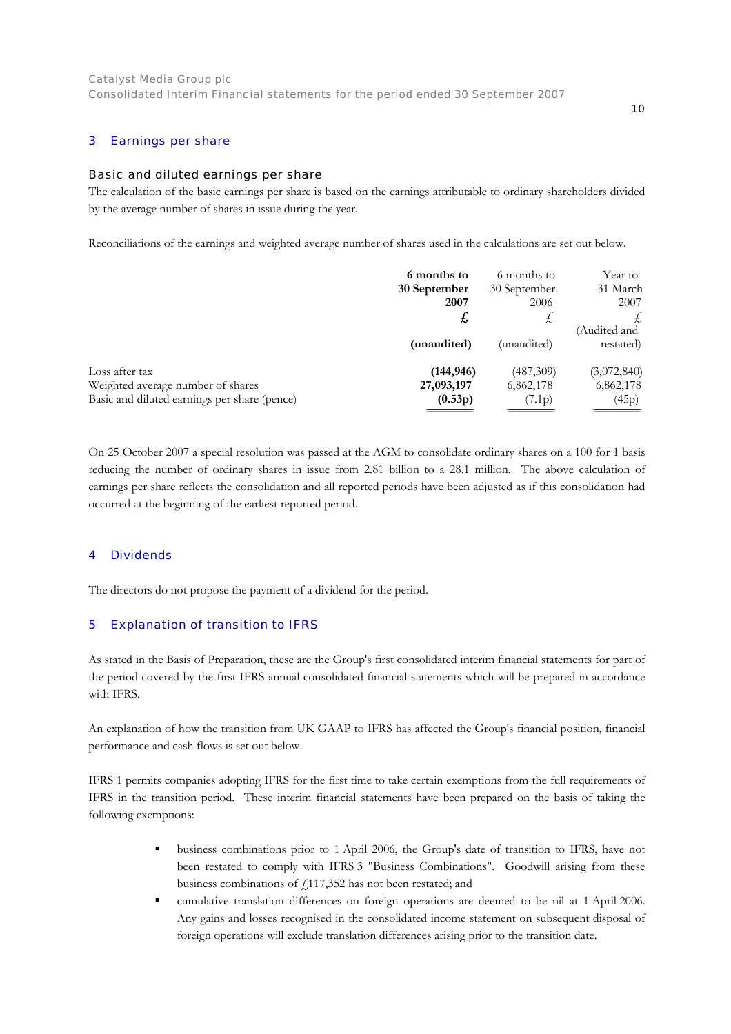#### 3 Earnings per share

### Basic and diluted earnings per share

The calculation of the basic earnings per share is based on the earnings attributable to ordinary shareholders divided by the average number of shares in issue during the year.

Reconciliations of the earnings and weighted average number of shares used in the calculations are set out below.

|                                              | 6 months to  | 6 months to  | Year to     |
|----------------------------------------------|--------------|--------------|-------------|
|                                              | 30 September | 30 September | 31 March    |
|                                              | 2007         | 2006         | 2007        |
|                                              | £            | Ł,           |             |
|                                              |              |              | Audited and |
|                                              | (unaudited)  | (unaudited)  | restated)   |
| Loss after tax                               | (144, 946)   | (487,309)    | (3,072,840) |
| Weighted average number of shares            | 27,093,197   | 6,862,178    | 6,862,178   |
| Basic and diluted earnings per share (pence) | (0.53p)      | (7.1p)       | (45p)       |
|                                              |              |              |             |

On 25 October 2007 a special resolution was passed at the AGM to consolidate ordinary shares on a 100 for 1 basis reducing the number of ordinary shares in issue from 2.81 billion to a 28.1 million. The above calculation of earnings per share reflects the consolidation and all reported periods have been adjusted as if this consolidation had occurred at the beginning of the earliest reported period.

#### 4 **Dividends**

The directors do not propose the payment of a dividend for the period.

#### 5 Explanation of transition to IFRS

As stated in the Basis of Preparation, these are the Group's first consolidated interim financial statements for part of the period covered by the first IFRS annual consolidated financial statements which will be prepared in accordance with IFRS.

An explanation of how the transition from UK GAAP to IFRS has affected the Group's financial position, financial performance and cash flows is set out below.

IFRS 1 permits companies adopting IFRS for the first time to take certain exemptions from the full requirements of IFRS in the transition period. These interim financial statements have been prepared on the basis of taking the following exemptions:

- business combinations prior to 1 April 2006, the Group's date of transition to IFRS, have not been restated to comply with IFRS 3 "Business Combinations". Goodwill arising from these business combinations of  $f$ 117,352 has not been restated; and
- cumulative translation differences on foreign operations are deemed to be nil at 1 April 2006. Any gains and losses recognised in the consolidated income statement on subsequent disposal of foreign operations will exclude translation differences arising prior to the transition date.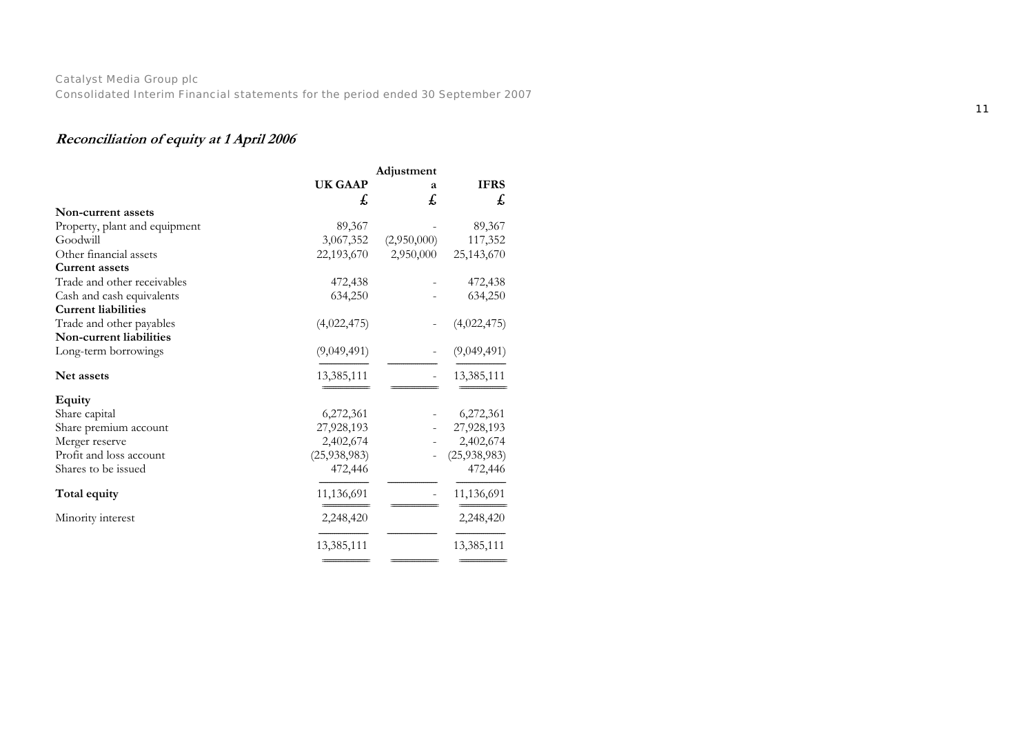## **Reconciliation of equity at 1 April 2006**

|                               | <b>UK GAAP</b> | a           | <b>IFRS</b>  |
|-------------------------------|----------------|-------------|--------------|
|                               | £              | £           | £            |
| Non-current assets            |                |             |              |
| Property, plant and equipment | 89,367         |             | 89,367       |
| Goodwill                      | 3,067,352      | (2,950,000) | 117,352      |
| Other financial assets        | 22,193,670     | 2,950,000   | 25,143,670   |
| <b>Current assets</b>         |                |             |              |
| Trade and other receivables   | 472,438        |             | 472,438      |
| Cash and cash equivalents     | 634,250        |             | 634,250      |
| <b>Current liabilities</b>    |                |             |              |
| Trade and other payables      | (4,022,475)    |             | (4,022,475)  |
| Non-current liabilities       |                |             |              |
| Long-term borrowings          | (9,049,491)    |             | (9,049,491)  |
| Net assets                    | 13,385,111     |             | 13,385,111   |
|                               |                |             |              |
| <b>Equity</b>                 |                |             |              |
| Share capital                 | 6,272,361      |             | 6,272,361    |
| Share premium account         | 27,928,193     |             | 27,928,193   |
| Merger reserve                | 2,402,674      |             | 2,402,674    |
| Profit and loss account       | (25, 938, 983) |             | (25,938,983) |
| Shares to be issued           | 472,446        |             | 472,446      |
| Total equity                  | 11,136,691     |             | 11,136,691   |
| Minority interest             | 2,248,420      |             | 2,248,420    |
|                               | 13,385,111     |             | 13,385,111   |

=========================

========================= =========================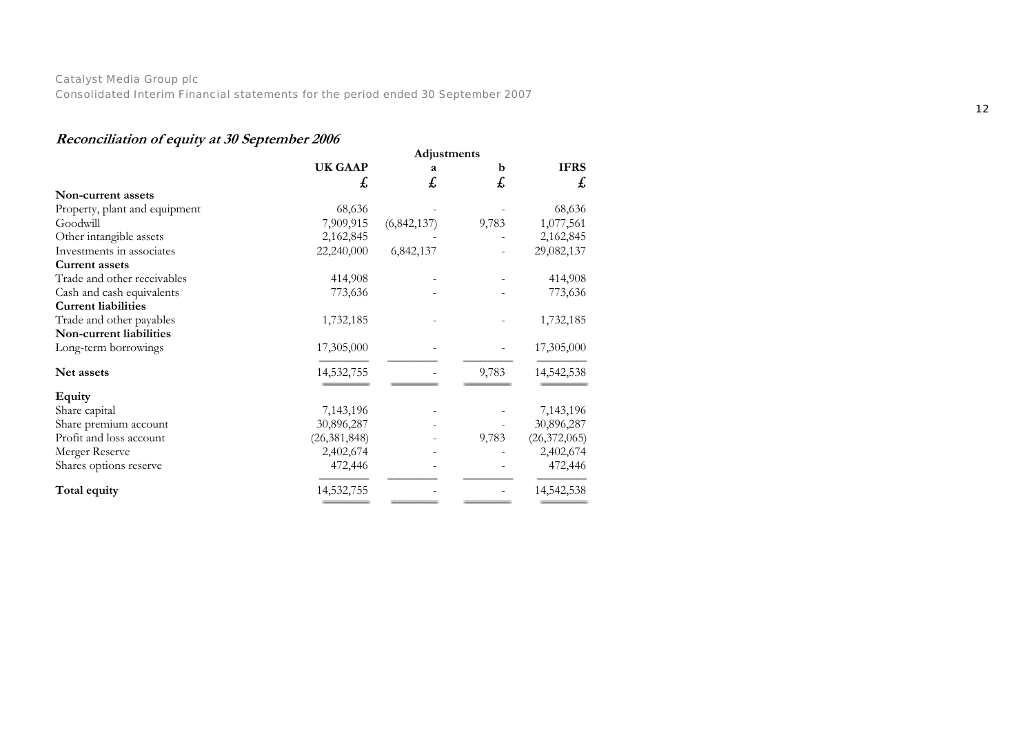## **Reconciliation of equity at 30 September 2006**

|                               | Adjustments    |             |       |                |  |
|-------------------------------|----------------|-------------|-------|----------------|--|
|                               | <b>UK GAAP</b> | a           | b     | <b>IFRS</b>    |  |
|                               | £,             | £           | £     | £,             |  |
| Non-current assets            |                |             |       |                |  |
| Property, plant and equipment | 68,636         |             |       | 68,636         |  |
| Goodwill                      | 7,909,915      | (6,842,137) | 9,783 | 1,077,561      |  |
| Other intangible assets       | 2,162,845      |             |       | 2,162,845      |  |
| Investments in associates     | 22,240,000     | 6,842,137   |       | 29,082,137     |  |
| <b>Current assets</b>         |                |             |       |                |  |
| Trade and other receivables   | 414,908        |             |       | 414,908        |  |
| Cash and cash equivalents     | 773,636        |             |       | 773,636        |  |
| <b>Current liabilities</b>    |                |             |       |                |  |
| Trade and other payables      | 1,732,185      |             |       | 1,732,185      |  |
| Non-current liabilities       |                |             |       |                |  |
| Long-term borrowings          | 17,305,000     |             |       | 17,305,000     |  |
| Net assets                    | 14,532,755     |             | 9,783 | 14,542,538     |  |
| <b>Equity</b>                 |                |             |       |                |  |
| Share capital                 | 7,143,196      |             |       | 7,143,196      |  |
| Share premium account         | 30,896,287     |             |       | 30,896,287     |  |
| Profit and loss account       | (26, 381, 848) |             | 9,783 | (26, 372, 065) |  |
| Merger Reserve                | 2,402,674      |             |       | 2,402,674      |  |
| Shares options reserve        | 472,446        |             |       | 472,446        |  |
| Total equity                  | 14,532,755     |             |       | 14,542,538     |  |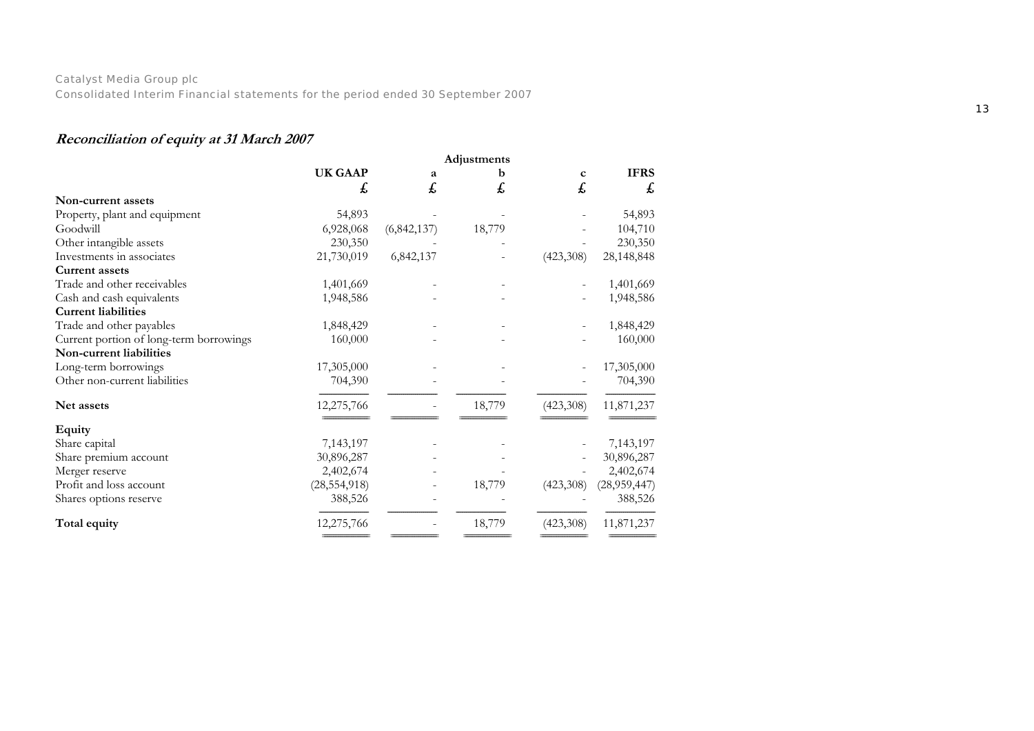## **Reconciliation of equity at 31 March 2007**

|                                         | Adjustments    |               |        |             |              |
|-----------------------------------------|----------------|---------------|--------|-------------|--------------|
|                                         | <b>UK GAAP</b> | a             | b      | $\mathbf c$ | <b>IFRS</b>  |
|                                         | £,             | £             | £      | £           | £            |
| Non-current assets                      |                |               |        |             |              |
| Property, plant and equipment           | 54,893         |               |        |             | 54,893       |
| Goodwill                                | 6,928,068      | (6, 842, 137) | 18,779 |             | 104,710      |
| Other intangible assets                 | 230,350        |               |        |             | 230,350      |
| Investments in associates               | 21,730,019     | 6,842,137     |        | (423,308)   | 28,148,848   |
| <b>Current assets</b>                   |                |               |        |             |              |
| Trade and other receivables             | 1,401,669      |               |        |             | 1,401,669    |
| Cash and cash equivalents               | 1,948,586      |               |        |             | 1,948,586    |
| <b>Current liabilities</b>              |                |               |        |             |              |
| Trade and other payables                | 1,848,429      |               |        |             | 1,848,429    |
| Current portion of long-term borrowings | 160,000        |               |        |             | 160,000      |
| Non-current liabilities                 |                |               |        |             |              |
| Long-term borrowings                    | 17,305,000     |               |        |             | 17,305,000   |
| Other non-current liabilities           | 704,390        |               |        |             | 704,390      |
| Net assets                              | 12,275,766     |               | 18,779 | (423,308)   | 11,871,237   |
| Equity                                  |                |               |        |             |              |
| Share capital                           | 7,143,197      |               |        |             | 7,143,197    |
| Share premium account                   | 30,896,287     |               |        |             | 30,896,287   |
| Merger reserve                          | 2,402,674      |               |        |             | 2,402,674    |
| Profit and loss account                 | (28, 554, 918) |               | 18,779 | (423,308)   | (28,959,447) |
| Shares options reserve                  | 388,526        |               |        |             | 388,526      |
| Total equity                            | 12,275,766     |               | 18,779 | (423,308)   | 11,871,237   |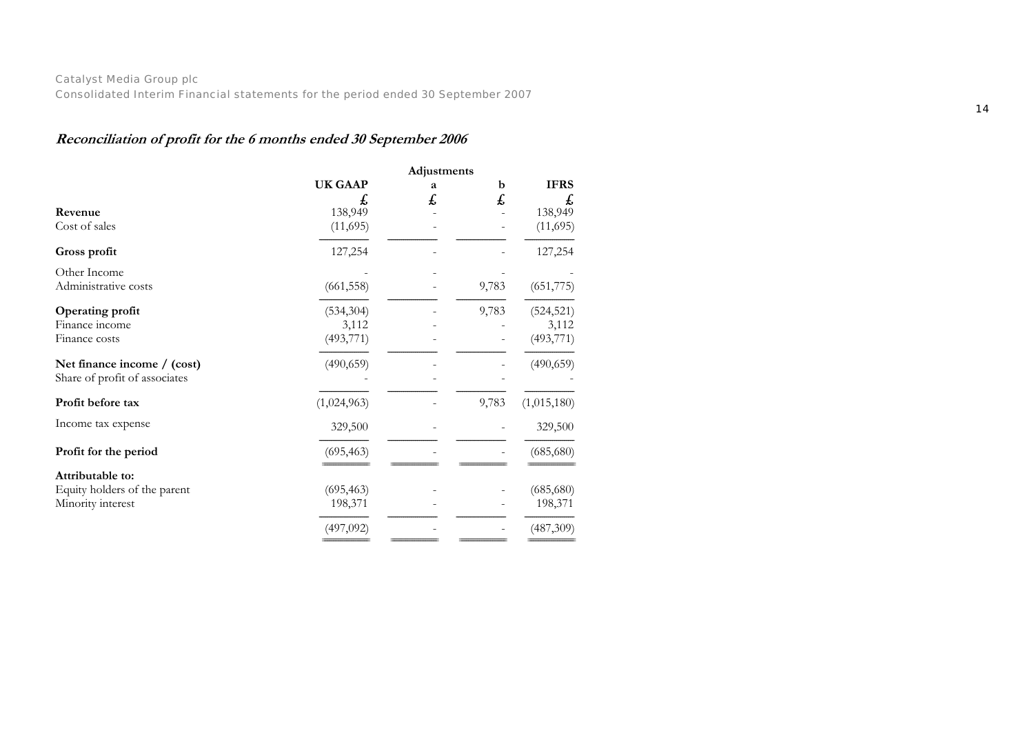## **Reconciliation of profit for the 6 months ended 30 September 2006**

|                               | Adjustments    |    |       |             |
|-------------------------------|----------------|----|-------|-------------|
|                               | <b>UK GAAP</b> | а  | b     | <b>IFRS</b> |
|                               | Ł,             | £, | £     | £,          |
| Revenue                       | 138,949        |    |       | 138,949     |
| Cost of sales                 | (11,695)       |    |       | (11,695)    |
| Gross profit                  | 127,254        |    |       | 127,254     |
| Other Income                  |                |    |       |             |
| Administrative costs          | (661, 558)     |    | 9,783 | (651, 775)  |
| Operating profit              | (534, 304)     |    | 9,783 | (524, 521)  |
| Finance income                | 3,112          |    |       | 3,112       |
| Finance costs                 | (493, 771)     |    |       | (493, 771)  |
| Net finance income / (cost)   | (490, 659)     |    |       | (490, 659)  |
| Share of profit of associates |                |    |       |             |
| Profit before tax             | (1,024,963)    |    | 9,783 | (1,015,180) |
| Income tax expense            | 329,500        |    |       | 329,500     |
| Profit for the period         | (695, 463)     |    |       | (685, 680)  |
| Attributable to:              |                |    |       |             |
|                               |                |    |       |             |
| Equity holders of the parent  | (695, 463)     |    |       | (685, 680)  |
| Minority interest             | 198,371        |    |       | 198,371     |
|                               | (497,092)      |    |       | (487,309)   |

========================= ========================= ========================= =========================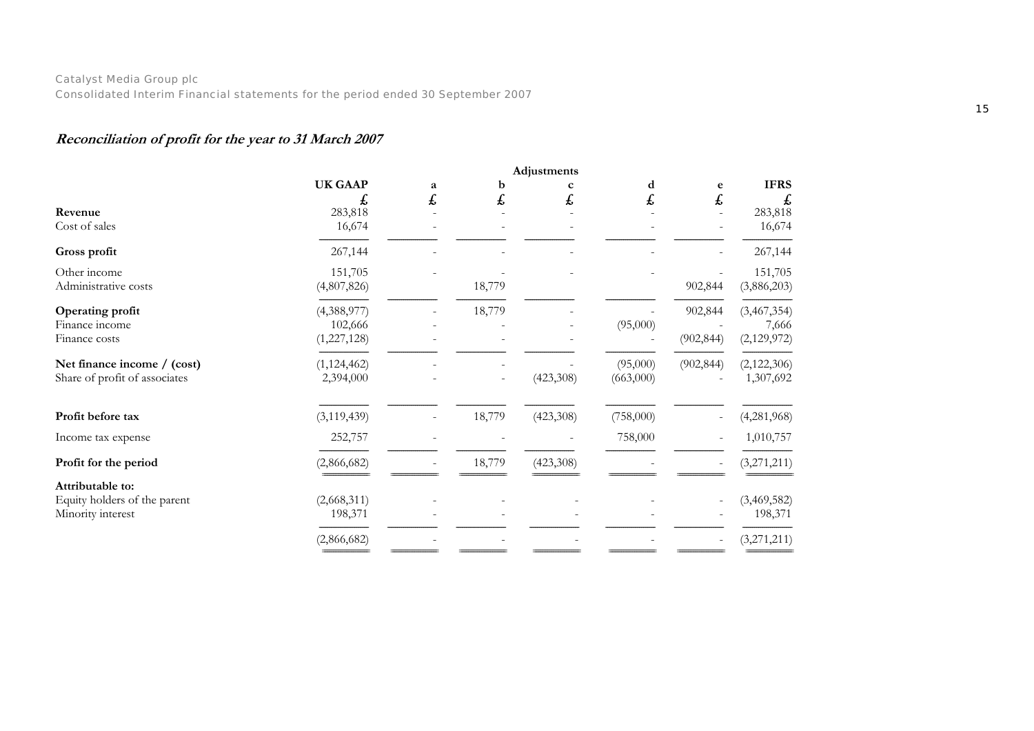## **Reconciliation of profit for the year to 31 March 2007**

|                                                                       | Adjustments                               |        |         |           |                       |                       |                                       |
|-----------------------------------------------------------------------|-------------------------------------------|--------|---------|-----------|-----------------------|-----------------------|---------------------------------------|
| Revenue<br>Cost of sales                                              | <b>UK GAAP</b><br>£,<br>283,818<br>16,674 | a<br>£ | b<br>£, | t,        | d<br>£                | e<br>£                | <b>IFRS</b><br>£<br>283,818<br>16,674 |
| Gross profit                                                          | 267,144                                   |        |         |           |                       |                       | 267,144                               |
| Other income<br>Administrative costs                                  | 151,705<br>(4,807,826)                    |        | 18,779  |           |                       | 902,844               | 151,705<br>(3,886,203)                |
| Operating profit<br>Finance income<br>Finance costs                   | (4,388,977)<br>102,666<br>(1,227,128)     |        | 18,779  |           | (95,000)              | 902,844<br>(902, 844) | (3,467,354)<br>7,666<br>(2,129,972)   |
| Net finance income / (cost)<br>Share of profit of associates          | (1, 124, 462)<br>2,394,000                |        |         | (423,308) | (95,000)<br>(663,000) | (902, 844)            | (2,122,306)<br>1,307,692              |
| Profit before tax                                                     | (3, 119, 439)                             |        | 18,779  | (423,308) | (758,000)             |                       | (4,281,968)                           |
| Income tax expense                                                    | 252,757                                   |        |         |           | 758,000               |                       | 1,010,757                             |
| Profit for the period                                                 | (2,866,682)                               |        | 18,779  | (423,308) |                       |                       | (3,271,211)                           |
| Attributable to:<br>Equity holders of the parent<br>Minority interest | (2,668,311)<br>198,371                    |        |         |           |                       |                       | (3,469,582)<br>198,371                |
|                                                                       | (2,866,682)                               |        |         |           |                       |                       | (3,271,211)                           |